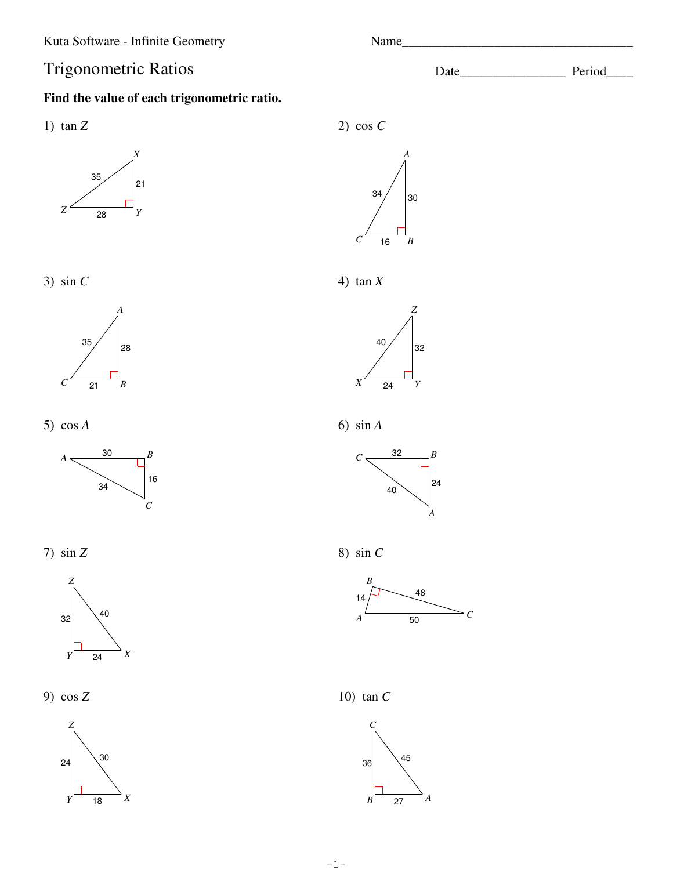# **Trigonometric Ratios**

## Find the value of each trigonometric ratio.

1)  $\tan Z$ 







5)  $\cos A$ 



7)  $\sin Z$ 



9)  $\cos Z$ 



2) cos  $C$ 



4)  $\tan X$ 



6)  $\sin A$ 



8) sin  $C$ 



10)  $\tan C$ 



Name

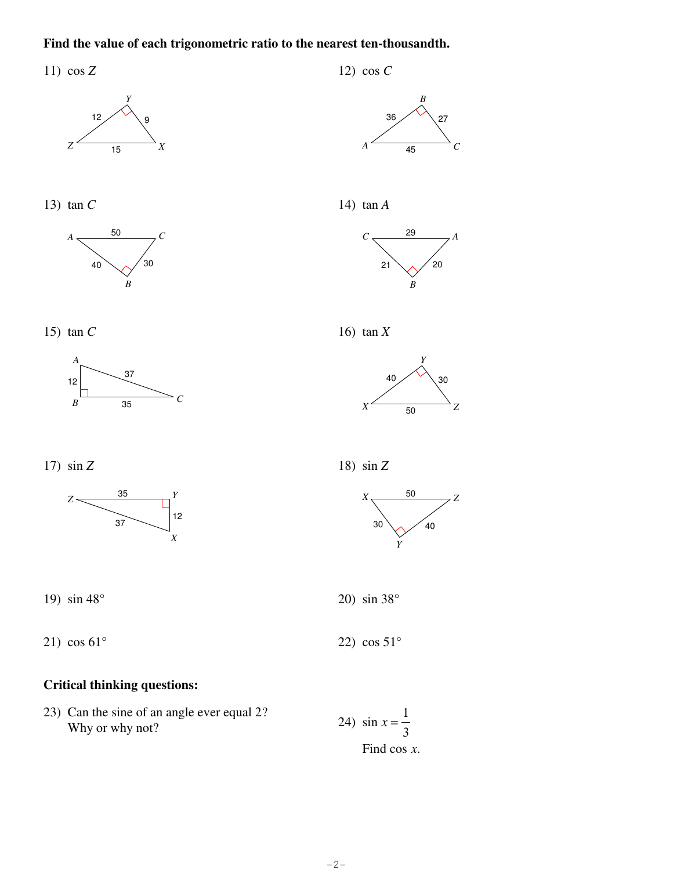#### Find the value of each trigonometric ratio to the nearest ten-thousandth.

11)  $\cos Z$ 









14)  $\tan A$ 

12) cos  $C$ 









16)  $tan X$ 



17)  $\sin Z$ 



19)  $\sin 48^\circ$ 

21)  $\cos 61^\circ$ 

### **Critical thinking questions:**

23) Can the sine of an angle ever equal 2? Why or why not?

$$
24) \sin x = \frac{1}{3}
$$

 $-2-$ 





20)  $\sin 38^\circ$ 

22)  $\cos 51^\circ$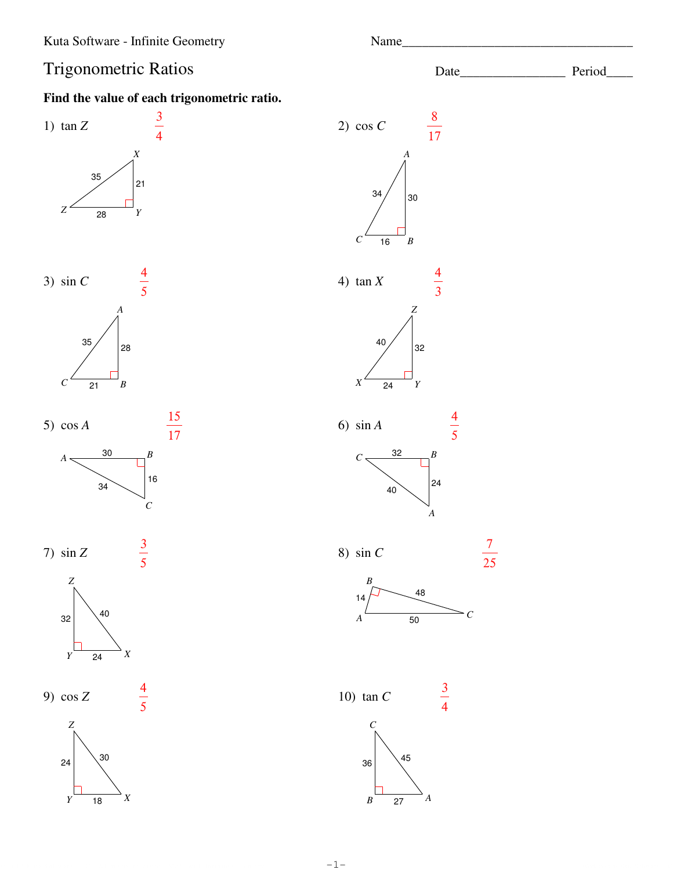# **Trigonometric Ratios**

# Find the value of each trigonometric ratio.



Name

Date\_

Period\_

 $-1-$